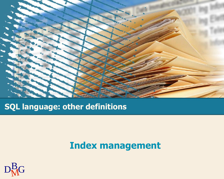

#### **SQL language: other definitions**

### **Index management**

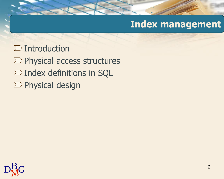### **Index management**

- $\sum$  Introduction
- $\Sigma$  Physical access structures
- $\Sigma$  Index definitions in SQL
- $\sum$  Physical design

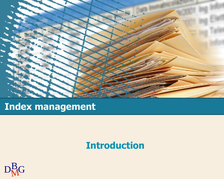

### **Index management**

### **Introduction**

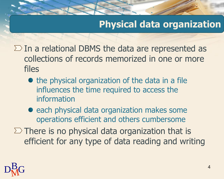### **Physical data organization**

- $\Sigma$  In a relational DBMS the data are represented as collections of records memorized in one or more files
	- the physical organization of the data in a file influences the time required to access the information
	- each physical data organization makes some operations efficient and others cumbersome
- $\Sigma$  There is no physical data organization that is efficient for any type of data reading and writing

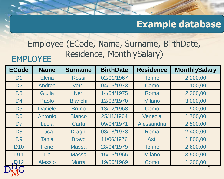### **Example database**

#### EMPLOYEE Employee (ECode, Name, Surname, BirthDate, Residence, MonthlySalary)

| <b>ECode</b>      | <b>Name</b>    | <b>Surname</b> | <b>BirthDate</b> | <b>Residence</b> | <b>MonthlySalary</b> |
|-------------------|----------------|----------------|------------------|------------------|----------------------|
| D <sub>1</sub>    | <b>Elena</b>   | <b>Rossi</b>   | 02/01/1967       | <b>Torino</b>    | 2.200,00             |
| D <sub>2</sub>    | Andrea         | Verdi          | 04/05/1973       | Como             | 1.100,00             |
| D <sub>3</sub>    | <b>Giulia</b>  | <b>Neri</b>    | 14/04/1975       | Roma             | 2.200,00             |
| D <sub>4</sub>    | Paolo          | <b>Bianchi</b> | 12/08/1970       | <b>Milano</b>    | 3.000,00             |
| D <sub>5</sub>    | <b>Daniele</b> | <b>Bruno</b>   | 13/02/1968       | Como             | 1.900,00             |
| D <sub>6</sub>    | Antonio        | <b>Bianco</b>  | 25/11/1964       | Venezia          | 1.700,00             |
| D <sub>7</sub>    | Lucia          | Carta          | 09/04/1971       | Alessandria      | 2.500,00             |
| D <sub>8</sub>    | Luca           | <b>Draghi</b>  | 03/08/1973       | Roma             | 2.400,00             |
| D <sub>9</sub>    | <b>Tania</b>   | <b>Bravo</b>   | 11/06/1976       | <b>Asti</b>      | 1.800,00             |
| <b>D10</b>        | <b>Irene</b>   | <b>Massa</b>   | 28/04/1979       | <b>Torino</b>    | 2.600,00             |
| D <sub>11</sub>   | Lia            | <b>Massa</b>   | 15/05/1965       | <b>Milano</b>    | 3.500,00             |
| $\mathbf{F}^{12}$ | <b>Alessio</b> | <b>Morra</b>   | 19/06/1969       | Como             | 1.200,00             |
|                   |                |                |                  |                  | Ð                    |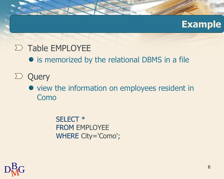#### **Example**

### $\sum$  Table EMPLOYEE

- is memorized by the relational DBMS in a file
- $\sum$  Query
	- view the information on employees resident in Como

SELECT \* FROM EMPLOYEE WHERE City='Como';

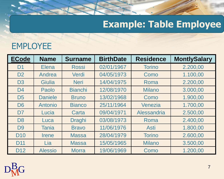# **Example: Table Employee**

#### EMPLOYEE

| <b>ECode</b>   | <b>Name</b>    | <b>Surname</b> | <b>BirthDate</b> | <b>Residence</b> | <b>MontlySalary</b> |
|----------------|----------------|----------------|------------------|------------------|---------------------|
| D <sub>1</sub> | <b>Elena</b>   | <b>Rossi</b>   | 02/01/1967       | <b>Torino</b>    | 2.200,00            |
| D <sub>2</sub> | Andrea         | Verdi          | 04/05/1973       | Como             | 1.100,00            |
| D <sub>3</sub> | <b>Giulia</b>  | <b>Neri</b>    | 14/04/1975       | Roma             | 2.200,00            |
| D <sub>4</sub> | Paolo          | <b>Bianchi</b> | 12/08/1970       | <b>Milano</b>    | 3.000,00            |
| D <sub>5</sub> | <b>Daniele</b> | <b>Bruno</b>   | 13/02/1968       | Como             | 1.900,00            |
| D <sub>6</sub> | Antonio        | <b>Bianco</b>  | 25/11/1964       | Venezia          | 1.700,00            |
| D <sub>7</sub> | Lucia          | Carta          | 09/04/1971       | Alessandria      | 2.500,00            |
| D <sub>8</sub> | Luca           | <b>Draghi</b>  | 03/08/1973       | Roma             | 2.400,00            |
| D <sub>9</sub> | <b>Tania</b>   | <b>Bravo</b>   | 11/06/1976       | <b>Asti</b>      | 1.800,00            |
| <b>D10</b>     | <b>Irene</b>   | <b>Massa</b>   | 28/04/1979       | <b>Torino</b>    | 2.600,00            |
| <b>D11</b>     | Lia            | <b>Massa</b>   | 15/05/1965       | <b>Milano</b>    | 3.500,00            |
| <b>D12</b>     | <b>Alessio</b> | <b>Morra</b>   | 19/06/1969       | Como             | 1.200,00            |

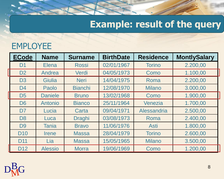# **Example: result of the query**

#### EMPLOYEE

| <b>ECode</b>    | <b>Name</b>    | <b>Surname</b> | <b>BirthDate</b> | <b>Residence</b> | <b>MontlySalary</b> |
|-----------------|----------------|----------------|------------------|------------------|---------------------|
| D <sub>1</sub>  | <b>Elena</b>   | <b>Rossi</b>   | 02/01/1967       | <b>Torino</b>    | 2.200,00            |
| D <sub>2</sub>  | Andrea         | Verdi          | 04/05/1973       | Como             | 1.100,00            |
| D <sub>3</sub>  | <b>Giulia</b>  | <b>Neri</b>    | 14/04/1975       | Roma             | 2.200,00            |
| D <sub>4</sub>  | Paolo          | <b>Bianchi</b> | 12/08/1970       | <b>Milano</b>    | 3.000,00            |
| D <sub>5</sub>  | <b>Daniele</b> | <b>Bruno</b>   | 13/02/1968       | Como             | 1.900,00            |
| D <sub>6</sub>  | Antonio        | <b>Bianco</b>  | 25/11/1964       | Venezia          | 1.700,00            |
| D <sub>7</sub>  | Lucia          | Carta          | 09/04/1971       | Alessandria      | 2.500,00            |
| D <sub>8</sub>  | Luca           | <b>Draghi</b>  | 03/08/1973       | Roma             | 2.400,00            |
| D <sub>9</sub>  | <b>Tania</b>   | <b>Bravo</b>   | 11/06/1976       | <b>Asti</b>      | 1.800,00            |
| <b>D10</b>      | <b>Irene</b>   | <b>Massa</b>   | 28/04/1979       | <b>Torino</b>    | 2.600,00            |
| D <sub>11</sub> | Lia            | <b>Massa</b>   | 15/05/1965       | <b>Milano</b>    | 3.500,00            |
| D <sub>12</sub> | <b>Alessio</b> | <b>Morra</b>   | 19/06/1969       | Como             | 1.200,00            |

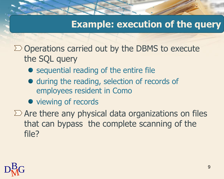### **Example: execution of the query**

 $\Sigma$  Operations carried out by the DBMS to execute the SQL query

- sequential reading of the entire file
- $\bullet$  during the reading, selection of records of employees resident in Como
- viewing of records

 $\Sigma$  Are there any physical data organizations on files that can bypass the complete scanning of the file?

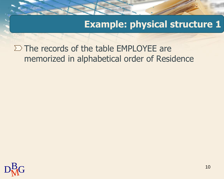$\Sigma$  The records of the table EMPLOYEE are memorized in alphabetical order of Residence

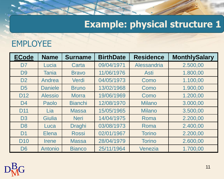#### EMPLOYEE

| <b>ECode</b>    | <b>Name</b>    | <b>Surname</b> | <b>BirthDate</b> | <b>Residence</b> | <b>MonthlySalary</b> |
|-----------------|----------------|----------------|------------------|------------------|----------------------|
| D <sub>7</sub>  | Lucia          | Carta          | 09/04/1971       | Alessandria      | 2.500,00             |
| D <sub>9</sub>  | <b>Tania</b>   | <b>Bravo</b>   | 11/06/1976       | <b>Asti</b>      | 1.800,00             |
| D <sub>2</sub>  | Andrea         | Verdi          | 04/05/1973       | Como             | 1.100,00             |
| D <sub>5</sub>  | <b>Daniele</b> | <b>Bruno</b>   | 13/02/1968       | Como             | 1.900,00             |
| D <sub>12</sub> | <b>Alessio</b> | <b>Morra</b>   | 19/06/1969       | Como             | 1.200,00             |
| D <sub>4</sub>  | Paolo          | <b>Bianchi</b> | 12/08/1970       | <b>Milano</b>    | 3.000,00             |
| D <sub>11</sub> | Lia            | <b>Massa</b>   | 15/05/1965       | <b>Milano</b>    | 3.500,00             |
| D <sub>3</sub>  | Giulia         | <b>Neri</b>    | 14/04/1975       | Roma             | 2.200,00             |
| D <sub>8</sub>  | Luca           | <b>Draghi</b>  | 03/08/1973       | Roma             | 2.400,00             |
| D <sub>1</sub>  | <b>Elena</b>   | <b>Rossi</b>   | 02/01/1967       | <b>Torino</b>    | 2.200,00             |
| <b>D10</b>      | <b>Irene</b>   | <b>Massa</b>   | 28/04/1979       | <b>Torino</b>    | 2.600,00             |
| D <sub>6</sub>  | Antonio        | <b>Bianco</b>  | 25/11/1964       | Venezia          | 1.700,00             |

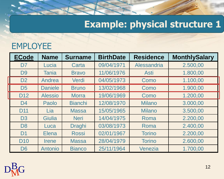#### EMPLOYEE

| <b>ECode</b>    | <b>Name</b>    | <b>Surname</b> | <b>BirthDate</b> | <b>Residence</b> | <b>MonthlySalary</b> |
|-----------------|----------------|----------------|------------------|------------------|----------------------|
| D <sub>7</sub>  | Lucia          | Carta          | 09/04/1971       | Alessandria      | 2.500,00             |
| D <sub>9</sub>  | <b>Tania</b>   | <b>Bravo</b>   | 11/06/1976       | <b>Asti</b>      | 1.800,00             |
| D <sub>2</sub>  | Andrea         | Verdi          | 04/05/1973       | Como             | 1.100,00             |
| D <sub>5</sub>  | <b>Daniele</b> | <b>Bruno</b>   | 13/02/1968       | Como             | 1.900,00             |
| D <sub>12</sub> | <b>Alessio</b> | <b>Morra</b>   | 19/06/1969       | Como             | 1.200,00             |
| D <sub>4</sub>  | Paolo          | <b>Bianchi</b> | 12/08/1970       | <b>Milano</b>    | 3.000,00             |
| D <sub>11</sub> | Lia            | <b>Massa</b>   | 15/05/1965       | <b>Milano</b>    | 3.500,00             |
| D <sub>3</sub>  | Giulia         | <b>Neri</b>    | 14/04/1975       | Roma             | 2.200,00             |
| D <sub>8</sub>  | Luca           | <b>Draghi</b>  | 03/08/1973       | Roma             | 2.400,00             |
| D <sub>1</sub>  | <b>Elena</b>   | <b>Rossi</b>   | 02/01/1967       | <b>Torino</b>    | 2.200,00             |
| <b>D10</b>      | <b>Irene</b>   | <b>Massa</b>   | 28/04/1979       | <b>Torino</b>    | 2.600,00             |
| D <sub>6</sub>  | Antonio        | <b>Bianco</b>  | 25/11/1964       | Venezia          | 1.700,00             |

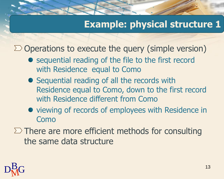$\Sigma$  Operations to execute the query (simple version)

- sequential reading of the file to the first record with Residence equal to Como
- Sequential reading of all the records with Residence equal to Como, down to the first record with Residence different from Como
- viewing of records of employees with Residence in Como
- $\Sigma$  There are more efficient methods for consulting the same data structure

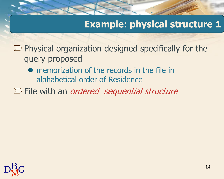$\Sigma$  Physical organization designed specifically for the query proposed

- memorization of the records in the file in alphabetical order of Residence
- $\Sigma$  File with an *ordered sequential structure*

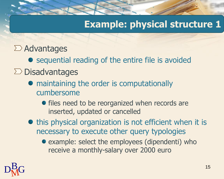#### $\Sigma$  Advantages

• sequential reading of the entire file is avoided  $\Sigma$  Disadvantages

- maintaining the order is computationally cumbersome
	- files need to be reorganized when records are inserted, updated or cancelled
- this physical organization is not efficient when it is necessary to execute other query typologies
	- example: select the employees (dipendenti) who receive a monthly-salary over 2000 euro

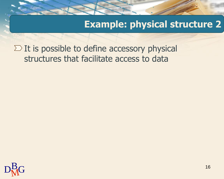$\Sigma$  It is possible to define accessory physical structures that facilitate access to data

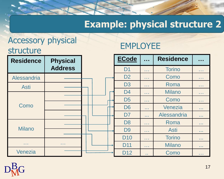#### Accessory physical structure

#### EMPLOYEE

| <b>Residence</b>  | <b>Physical</b> | <b>ECode</b>    | $\mathbf{r}$    | <b>Residence</b> | $\sim$ $\sim$ $\sim$ |
|-------------------|-----------------|-----------------|-----------------|------------------|----------------------|
|                   | <b>Address</b>  | D <sub>1</sub>  | a a s           | <b>Torino</b>    | a sa s               |
| Alessandria       |                 | D <sub>2</sub>  | a a s           | Como             | a sa s               |
| <b>Asti</b>       |                 | D <sub>3</sub>  | a sin           | Roma             | a sa s               |
|                   |                 | D <sub>4</sub>  | <b>Contract</b> | <b>Milano</b>    | a sa sa              |
|                   |                 | D <sub>5</sub>  | a sa sa         | Como             | .                    |
| Como              |                 | D <sub>6</sub>  | <b>ALCOHOL</b>  | Venezia          | <b>A 10 A</b>        |
|                   |                 | D <sub>7</sub>  | a a s           | Alessandria      | <b>A 10 A</b>        |
| <b>Milano</b>     |                 | D <sub>8</sub>  | <b>Contract</b> | Roma             | <b>COL</b>           |
|                   |                 | D <sub>9</sub>  | <b>Contract</b> | <b>Asti</b>      | <b>COL</b>           |
|                   |                 | <b>D10</b>      | a a se          | <b>Torino</b>    | <b>COL</b>           |
| <b>STATISTICS</b> | <b>ALC UNIT</b> | <b>D11</b>      | a a s           | <b>Milano</b>    | <b>COL</b>           |
| Venezia           |                 | D <sub>12</sub> | $\sim 10$       | Como             | <b>ALC UNI</b>       |

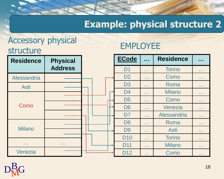#### Accessory physical structure

#### EMPLOYEE

| <b>Residence</b>  | <b>Physical</b> | <b>ECode</b>    | $\mathbf{r}$    | <b>Residence</b> | $\sim$ $\sim$ $\sim$ |
|-------------------|-----------------|-----------------|-----------------|------------------|----------------------|
|                   | <b>Address</b>  | D <sub>1</sub>  | a sin           | <b>Torino</b>    | a sa s               |
| Alessandria       |                 | D <sub>2</sub>  | a sin           | Como             | a sin                |
| <b>Asti</b>       |                 | D <sub>3</sub>  | a sin           | Roma             | a sa s               |
|                   |                 | D <sub>4</sub>  | a sin           | <b>Milano</b>    | a sa sa              |
|                   |                 | D <sub>5</sub>  | <b>A 1999</b>   | Como             | .                    |
| Como              |                 | D <sub>6</sub>  | <b>STATE</b>    | Venezia          | <b>COL</b>           |
|                   |                 | D <sub>7</sub>  | a a s           | Alessandria      | <b>A 10 A</b>        |
| <b>Milano</b>     |                 | D <sub>8</sub>  | <b>Contract</b> | Roma             | <b>ALC N</b>         |
|                   |                 | D <sub>9</sub>  | a sa sa         | <b>Asti</b>      | <b>ALC N</b>         |
|                   |                 | <b>D10</b>      | a sa sa         | <b>Torino</b>    | <b>ALC N</b>         |
| <b>STATISTICS</b> | <b>Contract</b> | D <sub>11</sub> | a a se          | <b>Milano</b>    | <b>A 10 A</b>        |
| Venezia           |                 | D <sub>12</sub> | a a             | Como             | a sa sa              |

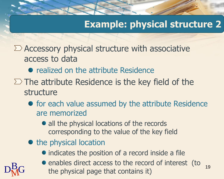$\sum$  Accessory physical structure with associative access to data

- realized on the attribute Residence
- $\Sigma$  The attribute Residence is the key field of the structure
	- for each value assumed by the attribute Residence are memorized
		- all the physical locations of the records corresponding to the value of the key field
	- the physical location
		- indicates the position of a record inside a file
- $D<sub>MC</sub><sup>B</sup>$  the physical page that contains it) 19 • enables direct access to the record of interest (to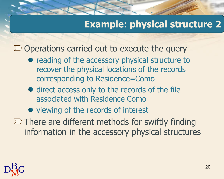$\Sigma$  Operations carried out to execute the query

- reading of the accessory physical structure to recover the physical locations of the records corresponding to Residence=Como
- direct access only to the records of the file associated with Residence Como
- viewing of the records of interest
- $\Sigma$  There are different methods for swiftly finding information in the accessory physical structures

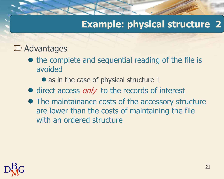#### $\Sigma$  Advantages

- the complete and sequential reading of the file is avoided
	- as in the case of physical structure 1
- $\bullet$  direct access  $only$  to the records of interest
- The maintainance costs of the accessory structure are lower than the costs of maintaining the file with an ordered structure

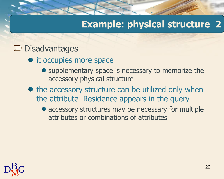#### $\Sigma$  Disadvantages

- it occupies more space
	- supplementary space is necessary to memorize the accessory physical structure
- the accessory structure can be utilized only when the attribute Residence appears in the query
	- accessory structures may be necessary for multiple attributes or combinations of attributes

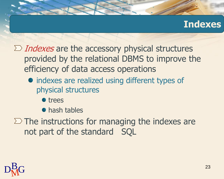### **Indexes**

 $\sum$  *Indexes* are the accessory physical structures provided by the relational DBMS to improve the efficiency of data access operations

- indexes are realized using different types of physical structures
	- **•** trees

**•** hash tables

 $\Sigma$  The instructions for managing the indexes are not part of the standard SQL

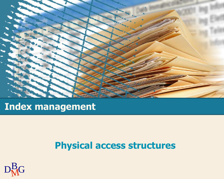

### **Index management**

#### **Physical access structures**

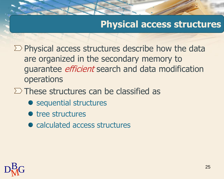### **Physical access structures**

 $\Sigma$  Physical access structures describe how the data are organized in the secondary memory to guarantee *efficient* search and data modification operations

- $\Sigma$  These structures can be classified as
	- sequential structures
	- **•** tree structures
	- calculated access structures

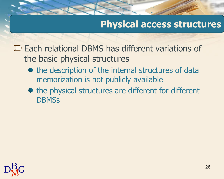### **Physical access structures**

 $\Sigma$  Each relational DBMS has different variations of the basic physical structures

- the description of the internal structures of data memorization is not publicly available
- the physical structures are different for different **DBMSs**

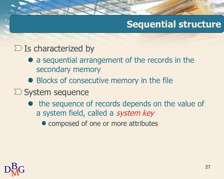### **Sequential structure**

#### $\Sigma$  Is characterized by

- a sequential arrangement of the records in the secondary memory
- Blocks of consecutive memory in the file
- $\sum$  System sequence
	- the sequence of records depends on the value of a system field, called a system key
		- composed of one or more attributes

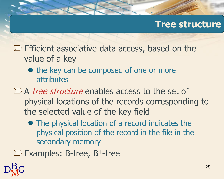#### **Tree structure**

- $\Sigma$  Efficient associative data access, based on the value of a key
	- the key can be composed of one or more attributes
- $\Sigma$  A tree structure enables access to the set of physical locations of the records corresponding to the selected value of the key field
	- The physical location of a record indicates the physical position of the record in the file in the secondary memory
- $\Sigma$  Examples: B-tree, B<sup>+</sup>-tree

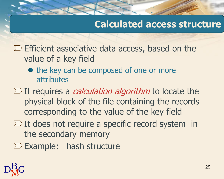### **Calculated access structure**

 $\Sigma$  Efficient associative data access, based on the value of a key field

- the key can be composed of one or more attributes
- $\Sigma$  It requires a *calculation algorithm* to locate the physical block of the file containing the records corresponding to the value of the key field
- $\Sigma$  It does not require a specific record system in the secondary memory

 $\Sigma$  Example: hash structure

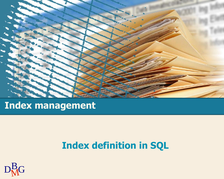

### **Index management**

### **Index definition in SQL**

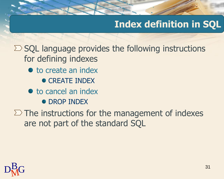### **Index definition in SQL**

 $\Sigma$  SQL language provides the following instructions for defining indexes

- to create an index
	- **CREATE INDEX**
- $\bullet$  to cancel an index
	- **DROP INDEX**

 $\Sigma$  The instructions for the management of indexes are not part of the standard SQL

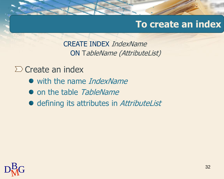### **To create an index**

CREATE INDEX IndexName ON TableName (AttributeList)

 $\sum$  Create an index

- with the name *IndexName*
- on the table TableName
- defining its attributes in AttributeList

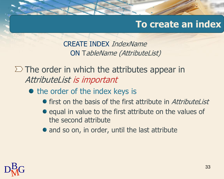### **To create an index**

CREATE INDEX IndexName ON TableName (AttributeList)

 $\Sigma$  The order in which the attributes appear in AttributeList is important

• the order of the index keys is

- **•** first on the basis of the first attribute in AttributeList
- equal in value to the first attribute on the values of the second attribute
- and so on, in order, until the last attribute

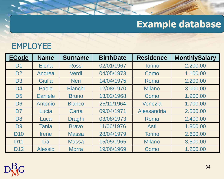### **Example database**

### EMPLOYEE

| <b>ECode</b>    | <b>Name</b>    | <b>Surname</b> | <b>BirthDate</b> | <b>Residence</b> | <b>MonthlySalary</b> |
|-----------------|----------------|----------------|------------------|------------------|----------------------|
| D <sub>1</sub>  | <b>Elena</b>   | <b>Rossi</b>   | 02/01/1967       | <b>Torino</b>    | 2.200,00             |
| D <sub>2</sub>  | Andrea         | Verdi          | 04/05/1973       | Como             | 1.100,00             |
| D <sub>3</sub>  | <b>Giulia</b>  | <b>Neri</b>    | 14/04/1975       | Roma             | 2.200,00             |
| D <sub>4</sub>  | Paolo          | <b>Bianchi</b> | 12/08/1970       | <b>Milano</b>    | 3.000,00             |
| D <sub>5</sub>  | <b>Daniele</b> | <b>Bruno</b>   | 13/02/1968       | Como             | 1.900,00             |
| D <sub>6</sub>  | Antonio        | <b>Bianco</b>  | 25/11/1964       | Venezia          | 1.700,00             |
| D <sub>7</sub>  | Lucia          | Carta          | 09/04/1971       | Alessandria      | 2.500,00             |
| D <sub>8</sub>  | Luca           | <b>Draghi</b>  | 03/08/1973       | Roma             | 2.400,00             |
| D <sub>9</sub>  | <b>Tania</b>   | <b>Bravo</b>   | 11/06/1976       | <b>Asti</b>      | 1.800,00             |
| <b>D10</b>      | <b>Irene</b>   | <b>Massa</b>   | 28/04/1979       | <b>Torino</b>    | 2.600,00             |
| D <sub>11</sub> | Lia            | <b>Massa</b>   | 15/05/1965       | <b>Milano</b>    | 3.500,00             |
| D <sub>12</sub> | <b>Alessio</b> | <b>Morra</b>   | 19/06/1969       | Como             | 1.200,00             |

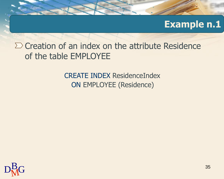#### **Example n.1**

 $\Sigma$  Creation of an index on the attribute Residence of the table EMPLOYEE

> CREATE INDEX ResidenceIndex ON EMPLOYEE (Residence)

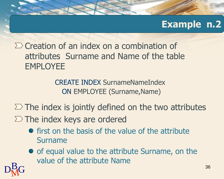### **Example n.2**

 $\Sigma$  Creation of an index on a combination of attributes Surname and Name of the table EMPLOYEE

> CREATE INDEX SurnameNameIndex ON EMPLOYEE (Surname,Name)

 $\Sigma$  The index is jointly defined on the two attributes

 $\Sigma$  The index keys are ordered

- $\bullet$  first on the basis of the value of the attribute Surname
- of equal value to the attribute Surname, on the value of the attribute Name

 $D<sub>M</sub>$ G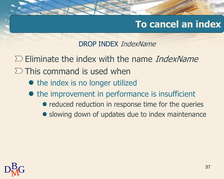### **To cancel an index**

DROP INDEX IndexName

 $\Sigma$  Eliminate the index with the name *IndexName* 

- $\Sigma$  This command is used when
	- the index is no longer utilized
	- the improvement in performance is insufficient
		- reduced reduction in response time for the queries
		- slowing down of updates due to index maintenance

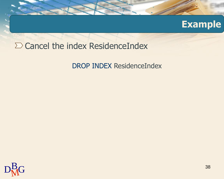#### **Example**

#### $\Sigma$  Cancel the index ResidenceIndex

DROP INDEX ResidenceIndex

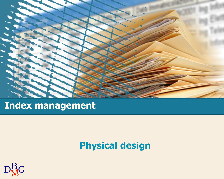

## **Index management**

### **Physical design**

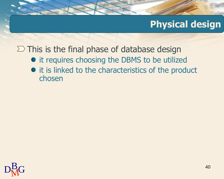### **Physical design**

 $\Sigma$  This is the final phase of database design

- it requires choosing the DBMS to be utilized
- it is linked to the characteristics of the product chosen

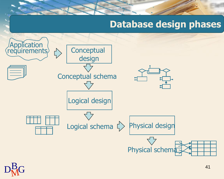### **Database design phases**



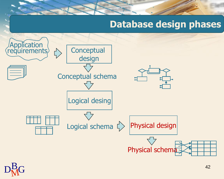### **Database design phases**



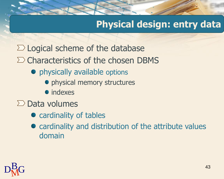### **Physical design: entry data**

- $\Sigma$  Logical scheme of the database
- $\Sigma$  Characteristics of the chosen DBMS
	- physically available options
		- physical memory structures
		- $\bullet$  indexes
- $\sum$  Data volumes
	- **•** cardinality of tables
	- cardinality and distribution of the attribute values domain

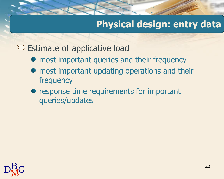### **Physical design: entry data**

 $\Sigma$  Estimate of applicative load

- most important queries and their frequency
- most important updating operations and their frequency
- response time requirements for important queries/updates

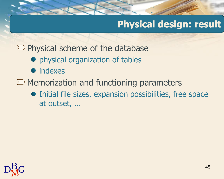### **Physical design: result**

 $\Sigma$  Physical scheme of the database

- physical organization of tables
- indexes
- $\Sigma$  Memorization and functioning parameters
	- Initial file sizes, expansion possibilities, free space at outset, ...

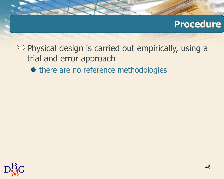### **Procedure**

 $\Sigma$  Physical design is carried out empirically, using a trial and error approach

 $\bullet$  there are no reference methodologies

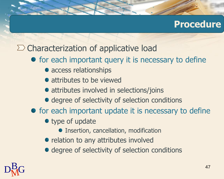#### **Procedure**

### $\Sigma$  Characterization of applicative load

- for each important query it is necessary to define
	- access relationships
	- attributes to be viewed
	- attributes involved in selections/joins
	- degree of selectivity of selection conditions
- for each important update it is necessary to define
	- type of update
		- **Insertion, cancellation, modification**
	- relation to any attributes involved
	- degree of selectivity of selection conditions

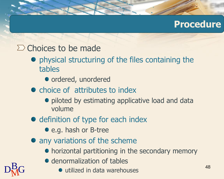### **Procedure**

#### $\Sigma$  Choices to be made

- physical structuring of the files containing the tables
	- ordered, unordered
- choice of attributes to index
	- **•** piloted by estimating applicative load and data volume
- definition of type for each index
	- e.g. hash or B-tree
- any variations of the scheme
	- horizontal partitioning in the secondary memory
	- **denormalization of tables**
- ${\rm D}^{\rm B}_{\rm M}$ G outil **I** utilized in data warehouses

48